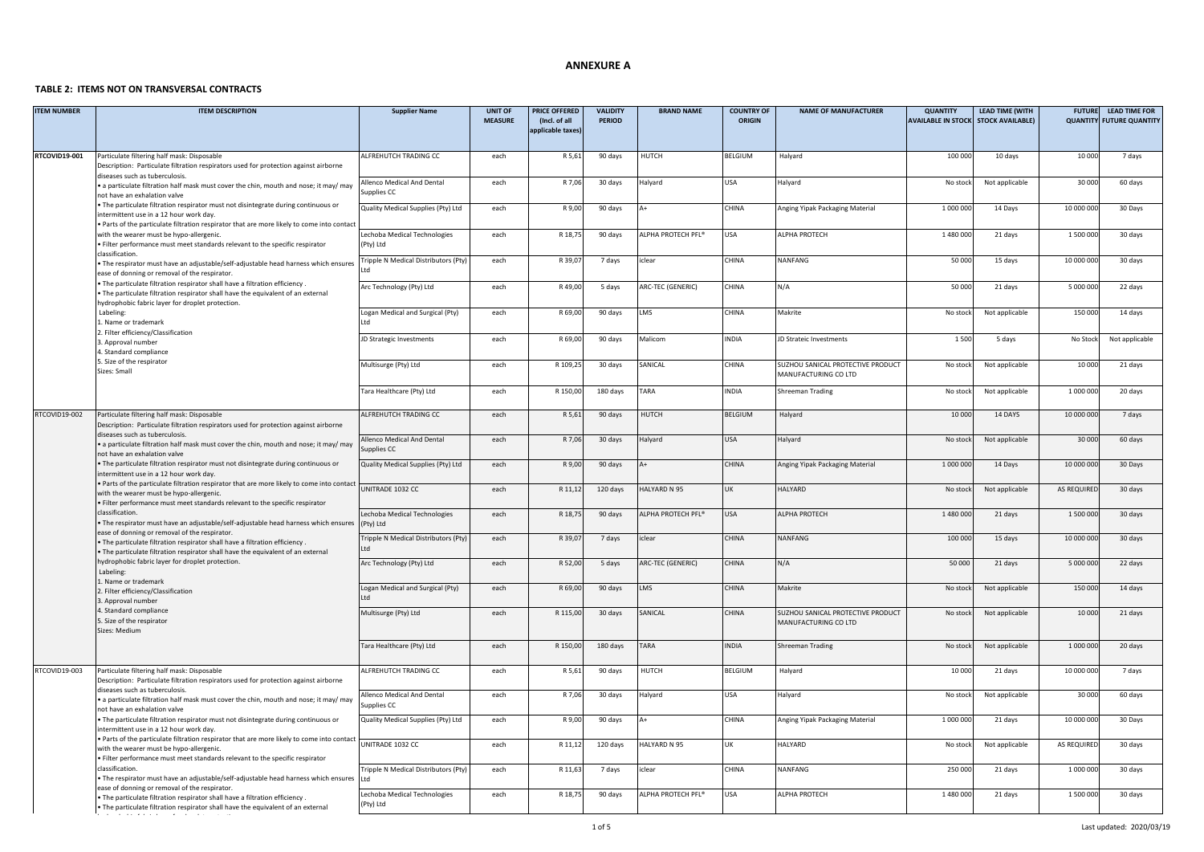#### **ANNEXURE A**

# **TABLE 2: ITEMS NOT ON TRANSVERSAL CONTRACTS**

| <b>ITEM NUMBER</b> | <b>ITEM DESCRIPTION</b>                                                                                                                                                                                                     | <b>Supplier Name</b>                                                | <b>UNIT OF</b><br><b>MEASURE</b> | PRICE OFFERED<br>(Incl. of all<br>applicable taxes) | <b>VALIDITY</b><br><b>PERIOD</b> | <b>BRAND NAME</b>              | <b>COUNTRY OF</b><br><b>ORIGIN</b> | <b>NAME OF MANUFACTURER</b>                               | <b>QUANTITY</b><br>AVAILABLE IN STOCK STOCK AVAILABLE) | <b>LEAD TIME (WITH</b> | <b>FUTURE</b><br><b>QUANTITY</b> | <b>LEAD TIME FOR</b><br><b>FUTURE QUANTITY</b> |
|--------------------|-----------------------------------------------------------------------------------------------------------------------------------------------------------------------------------------------------------------------------|---------------------------------------------------------------------|----------------------------------|-----------------------------------------------------|----------------------------------|--------------------------------|------------------------------------|-----------------------------------------------------------|--------------------------------------------------------|------------------------|----------------------------------|------------------------------------------------|
| RTCOVID19-001      | Particulate filtering half mask: Disposable<br>Description: Particulate filtration respirators used for protection against airborne<br>diseases such as tuberculosis.                                                       | ALFREHUTCH TRADING CC                                               | each                             | R 5,61                                              | 90 days                          | HUTCH                          | BELGIUM                            | Halyard                                                   | 100 000                                                | 10 days                | 10 000                           | 7 days                                         |
|                    | · a particulate filtration half mask must cover the chin, mouth and nose; it may/ may<br>not have an exhalation valve                                                                                                       | Allenco Medical And Dental<br>upplies CC                            | each                             | R 7,06                                              | 30 days                          | Halyard                        | USA                                | <b>Halyard</b>                                            | No stock                                               | Not applicable         | 30 000                           | 60 days                                        |
|                    | The particulate filtration respirator must not disintegrate during continuous or<br>intermittent use in a 12 hour work day.<br>. Parts of the particulate filtration respirator that are more likely to come into contact   | Quality Medical Supplies (Pty) Ltd                                  | each                             | R 9,00                                              | 90 days                          |                                | CHINA                              | Anging Yipak Packaging Material                           | 1 000 000                                              | 14 Days                | 10 000 000                       | 30 Days                                        |
|                    | with the wearer must be hypo-allergenic.<br>. Filter performance must meet standards relevant to the specific respirator<br>classification.                                                                                 | Lechoba Medical Technologies<br>(Pty) Ltd                           | each                             | R 18,7                                              | 90 days                          | ALPHA PROTECH PFL <sup>®</sup> | <b>USA</b>                         | ALPHA PROTECH                                             | 1 480 000                                              | 21 days                | 1 500 000                        | 30 days                                        |
|                    | The respirator must have an adjustable/self-adjustable head harness which ensures<br>ease of donning or removal of the respirator.                                                                                          | Tripple N Medical Distributors (Pty)                                | each                             | R 39,0                                              | 7 days                           | clear                          | CHINA                              | NANFANG                                                   | 50 000                                                 | 15 days                | 10 000 000                       | 30 days                                        |
|                    | . The particulate filtration respirator shall have a filtration efficiency<br>The particulate filtration respirator shall have the equivalent of an external<br>hydrophobic fabric layer for droplet protection.            | Arc Technology (Pty) Ltd                                            | each                             | R49,00                                              | 5 days                           | ARC-TEC (GENERIC)              | CHINA                              | N/A                                                       | 50 000                                                 | 21 days                | 5 000 000                        | 22 days                                        |
|                    | Labeling:<br>Name or trademark<br>2. Filter efficiency/Classification                                                                                                                                                       | Logan Medical and Surgical (Pty)                                    | each                             | R 69,00                                             | 90 days                          | LMS                            | CHINA                              | Makrite                                                   | No stock                                               | Not applicable         | 150 000                          | 14 days                                        |
|                    | 3. Approval number<br>4. Standard compliance                                                                                                                                                                                | JD Strategic Investments                                            | each                             | R 69,00                                             | 90 days                          | Malicom                        | <b>INDIA</b>                       | JD Strateic Investments                                   | 1 5 0 0                                                | 5 days                 | No Stock                         | Not applicable                                 |
|                    | 5. Size of the respirator<br>Sizes: Small                                                                                                                                                                                   | Multisurge (Pty) Ltd                                                | each                             | R 109,25                                            | 30 days                          | SANICAL                        | CHINA                              | SUZHOU SANICAL PROTECTIVE PRODUCT<br>MANUFACTURING CO LTD | No stock                                               | Not applicable         | 10 000                           | 21 days                                        |
|                    |                                                                                                                                                                                                                             | <b>Tara Healthcare (Pty) Ltd</b>                                    | each                             | R 150,00                                            | 180 days                         | TARA                           | INDIA                              | Shreeman Trading                                          | No stock                                               | Not applicable         | 1 000 000                        | 20 days                                        |
| RTCOVID19-002      | Particulate filtering half mask: Disposable<br>Description: Particulate filtration respirators used for protection against airborne<br>diseases such as tuberculosis.                                                       | ALFREHUTCH TRADING CC                                               | each                             | R 5,61                                              | 90 days                          | <b>HUTCH</b>                   | <b>BELGIUM</b>                     | Halyard                                                   | 10 000                                                 | 14 DAYS                | 10 000 000                       | 7 days                                         |
|                    | . a particulate filtration half mask must cover the chin, mouth and nose; it may/ may<br>not have an exhalation valve                                                                                                       | Allenco Medical And Dental<br>Supplies CC                           | each                             | R 7,06                                              | 30 days                          | Halyard                        | <b>USA</b>                         | Halyard                                                   | No stock                                               | Not applicable         | 30 000                           | 60 days                                        |
|                    | . The particulate filtration respirator must not disintegrate during continuous or<br>intermittent use in a 12 hour work day.<br>. Parts of the particulate filtration respirator that are more likely to come into contact | Quality Medical Supplies (Pty) Ltd                                  | each                             | R 9,00                                              | 90 days                          |                                | CHINA                              | Anging Yipak Packaging Material                           | 1 000 000                                              | 14 Days                | 10 000 000                       | 30 Days                                        |
|                    | with the wearer must be hypo-allergenic.<br>. Filter performance must meet standards relevant to the specific respirator<br>classification.                                                                                 | UNITRADE 1032 CC                                                    | each                             | R 11,1                                              | 120 days                         | <b>HALYARD N 95</b>            | LIK                                | <b>HALYARD</b>                                            | No stoc                                                | Not applicable         | AS REQUIRED                      | 30 days                                        |
|                    | . The respirator must have an adjustable/self-adjustable head harness which ensures<br>ease of donning or removal of the respirator.                                                                                        | Lechoba Medical Technologies<br>(Pty) Ltd                           | each                             | R 18,7                                              | 90 days                          | ALPHA PROTECH PFL <sup>®</sup> | USA                                | ALPHA PROTECH                                             | 1 480 000                                              | 21 days                | 1 500 000                        | 30 days                                        |
|                    | . The particulate filtration respirator shall have a filtration efficiency<br>The particulate filtration respirator shall have the equivalent of an external<br>hydrophobic fabric layer for droplet protection.            | Tripple N Medical Distributors (Pty)                                | each<br>each                     | R 39,07<br>R 52,00                                  | 7 days<br>5 days                 | iclear<br>ARC-TEC (GENERIC)    | <b>CHINA</b><br><b>CHINA</b>       | NANFANG<br>N/A                                            | 100 000<br>50 000                                      | 15 days<br>21 days     | 10 000 000<br>5 000 000          | 30 days<br>22 days                             |
|                    | Labeling:<br>Name or trademark                                                                                                                                                                                              | Arc Technology (Pty) Ltd<br>Logan Medical and Surgical (Pty)        | each                             | R 69,00                                             | 90 days                          | LMS                            | CHINA                              | Makrite                                                   | No stock                                               | Not applicable         | 150 00                           | 14 days                                        |
|                    | 2. Filter efficiency/Classification<br>3. Approval number<br>4. Standard compliance                                                                                                                                         | Multisurge (Pty) Ltd                                                | each                             | R 115,00                                            | 30 days                          | SANICAL                        | CHINA                              | SUZHOU SANICAL PROTECTIVE PRODUCT                         | No stock                                               | Not applicable         | 10 000                           | 21 days                                        |
|                    | 5. Size of the respirator<br>Sizes: Medium                                                                                                                                                                                  |                                                                     |                                  |                                                     |                                  |                                |                                    | MANUFACTURING CO LTD                                      |                                                        |                        |                                  |                                                |
|                    |                                                                                                                                                                                                                             | Tara Healthcare (Pty) Ltd                                           | each                             | R 150,00                                            | 180 days                         | TARA                           | <b>INDIA</b>                       | <b>Shreeman Trading</b>                                   | No stock                                               | Not applicable         | 1 000 000                        | 20 days                                        |
| RTCOVID19-003      | Particulate filtering half mask: Disposable<br>Description: Particulate filtration respirators used for protection against airborne<br>diseases such as tuberculosis.                                                       | ALFREHUTCH TRADING CC                                               | each                             | R 5,61                                              | 90 days                          | HUTCH                          | BELGIUM                            | Halyard                                                   | 10 000                                                 | 21 days                | 10 000 000                       | 7 days                                         |
|                    | . a particulate filtration half mask must cover the chin, mouth and nose; it may/ may<br>not have an exhalation valve                                                                                                       | Allenco Medical And Dental<br>upplies CC                            | each                             | R 7,06                                              | 30 days                          | Halyard                        | <b>USA</b>                         | Halyard                                                   | No stock                                               | Not applicable         | 30 000                           | 60 days                                        |
|                    | . The particulate filtration respirator must not disintegrate during continuous or<br>intermittent use in a 12 hour work day.<br>. Parts of the particulate filtration respirator that are more likely to come into contact | Quality Medical Supplies (Pty) Ltd                                  | each                             | R 9,00                                              | 90 days                          |                                | CHINA                              | Anging Yipak Packaging Material                           | 1 000 000                                              | 21 days                | 10 000 000                       | 30 Days                                        |
|                    | with the wearer must be hypo-allergenic<br>Filter performance must meet standards relevant to the specific respirator<br>classification.                                                                                    | UNITRADE 1032 CC                                                    | each<br>each                     | R 11,12                                             | 120 days                         | HALYARD N 95<br>clear          | UK<br>CHINA                        | HALYARD<br>NANFANG                                        | No stock<br>250 000                                    | Not applicable         | AS REQUIRED<br>1 000 000         | 30 days                                        |
|                    | The respirator must have an adjustable/self-adjustable head harness which ensures<br>ease of donning or removal of the respirator.                                                                                          | ripple N Medical Distributors (Pty)<br>Lechoba Medical Technologies | each                             | R 11,63<br>R 18,75                                  | 7 days<br>90 days                | ALPHA PROTECH PFL®             | <b>USA</b>                         | ALPHA PROTECH                                             | 1 480 000                                              | 21 days<br>21 days     | 1 500 000                        | 30 days<br>30 days                             |
|                    | The particulate filtration respirator shall have a filtration efficiency<br>. The particulate filtration respirator shall have the equivalent of an external                                                                | (Pty) Ltd                                                           |                                  |                                                     |                                  |                                |                                    |                                                           |                                                        |                        |                                  |                                                |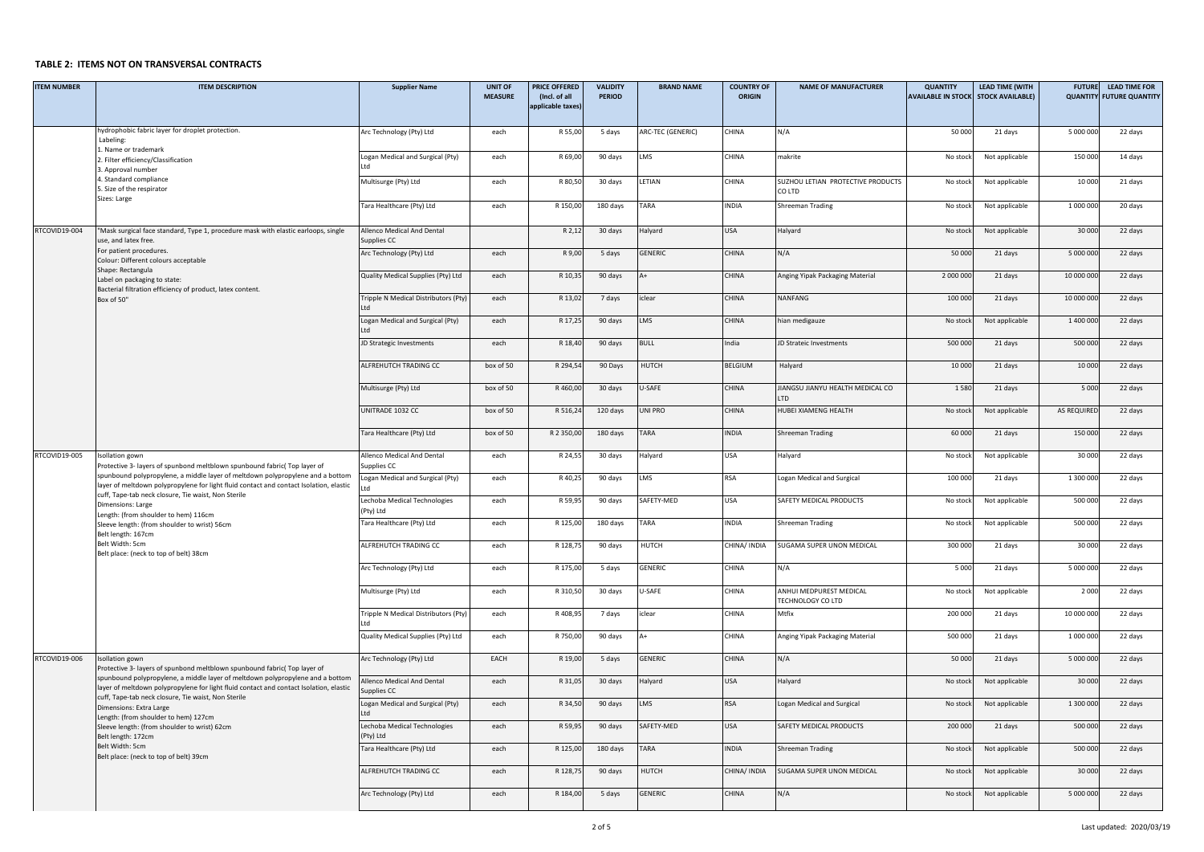#### TABLE 2: ITEMS NOT ON TRANSVERSAL <mark>CONTRACTS</mark>

| <b>ITEM NUMBER</b> | <b>ITEM DESCRIPTION</b>                                                                                                                                                                                                         | <b>Supplier Name</b>                      | <b>UNIT OF</b><br><b>MEASURE</b> | <b>PRICE OFFERED</b><br>(Incl. of all | <b>VALIDITY</b><br><b>PERIOD</b> | <b>BRAND NAME</b> | <b>COUNTRY OF</b><br><b>ORIGIN</b> | <b>NAME OF MANUFACTURER</b>                  | <b>QUANTITY</b><br><b>AVAILABLE IN STOCK</b> | <b>LEAD TIME (WITH</b><br><b>STOCK AVAILABLE)</b> | <b>FUTURE</b> | <b>LEAD TIME FOR</b><br><b>QUANTITY FUTURE QUANTITY</b> |
|--------------------|---------------------------------------------------------------------------------------------------------------------------------------------------------------------------------------------------------------------------------|-------------------------------------------|----------------------------------|---------------------------------------|----------------------------------|-------------------|------------------------------------|----------------------------------------------|----------------------------------------------|---------------------------------------------------|---------------|---------------------------------------------------------|
|                    |                                                                                                                                                                                                                                 |                                           |                                  | applicable taxes)                     |                                  |                   |                                    |                                              |                                              |                                                   |               |                                                         |
|                    | hydrophobic fabric layer for droplet protection.                                                                                                                                                                                | Arc Technology (Pty) Ltd                  | each                             | R 55,00                               | 5 days                           | ARC-TEC (GENERIC) | CHINA                              | N/A                                          | 50 000                                       | 21 days                                           | 5 000 000     | 22 days                                                 |
|                    | Labeling:<br>1. Name or trademark                                                                                                                                                                                               |                                           |                                  |                                       |                                  |                   |                                    |                                              |                                              |                                                   |               |                                                         |
|                    | 2. Filter efficiency/Classification<br>3. Approval number                                                                                                                                                                       | Logan Medical and Surgical (Pty)<br>ht I  | each                             | R 69,0                                | 90 days                          | LMS               | CHINA                              | makrite                                      | No stock                                     | Not applicable                                    | 150 000       | 14 days                                                 |
|                    | 4. Standard compliance<br>5. Size of the respirator<br>Sizes: Large                                                                                                                                                             | Multisurge (Pty) Ltd                      | each                             | R 80,50                               | 30 days                          | LETIAN            | CHINA                              | SUZHOU LETIAN PROTECTIVE PRODUCTS<br>CO LTD  | No stock                                     | Not applicable                                    | 10 000        | 21 days                                                 |
|                    |                                                                                                                                                                                                                                 | Tara Healthcare (Pty) Ltd                 | each                             | R 150,00                              | 180 days                         | TARA              | INDIA                              | Shreeman Trading                             | No stock                                     | Not applicable                                    | 1 000 000     | 20 days                                                 |
| RTCOVID19-004      | 'Mask surgical face standard, Type 1, procedure mask with elastic earloops, single<br>use, and latex free.                                                                                                                      | Allenco Medical And Dental<br>Supplies CC |                                  | R <sub>2,1</sub>                      | 30 days                          | Halyard           | <b>USA</b>                         | Halyard                                      | No stock                                     | Not applicable                                    | 30 000        | 22 days                                                 |
|                    | For patient procedures.<br>Colour: Different colours acceptable<br>Shape: Rectangula                                                                                                                                            | Arc Technology (Pty) Ltd                  | each                             | R 9,00                                | 5 days                           | GENERIC           | CHINA                              | N/A                                          | 50 000                                       | 21 days                                           | 5 000 000     | 22 days                                                 |
|                    | Label on packaging to state:<br>Bacterial filtration efficiency of product, latex content.                                                                                                                                      | Quality Medical Supplies (Pty) Ltd        | each                             | R 10,3                                | 90 days                          | $A+$              | CHINA                              | Anging Yipak Packaging Material              | 2 000 000                                    | 21 days                                           | 10 000 000    | 22 days                                                 |
|                    | Box of 50"                                                                                                                                                                                                                      | Tripple N Medical Distributors (Pty)      | each                             | R 13,0                                | 7 days                           | iclear            | CHINA                              | NANFANG                                      | 100 000                                      | 21 days                                           | 10 000 000    | 22 days                                                 |
|                    |                                                                                                                                                                                                                                 | Logan Medical and Surgical (Pty)          | each                             | R 17,2                                | 90 days                          | LMS               | CHINA                              | hian medigauze                               | No stock                                     | Not applicable                                    | 1 400 000     | 22 days                                                 |
|                    |                                                                                                                                                                                                                                 | JD Strategic Investments                  | each                             | R 18,40                               | 90 days                          | <b>BULL</b>       | India                              | <b>ID Strateic Investments</b>               | 500 000                                      | 21 days                                           | 500 000       | 22 days                                                 |
|                    |                                                                                                                                                                                                                                 | ALFREHUTCH TRADING CC                     | box of 50                        | R 294.5                               | 90 Days                          | HUTCH             | BELGIUM                            | Halyard                                      | 10 000                                       | 21 days                                           | 10 000        | 22 days                                                 |
|                    |                                                                                                                                                                                                                                 | Multisurge (Pty) Ltd                      | box of 50                        | R 460,00                              | 30 days                          | U-SAFE            | CHINA                              | JIANGSU JIANYU HEALTH MEDICAL CO<br>LTD      | 1580                                         | 21 days                                           | 5 0 0 0       | 22 days                                                 |
|                    |                                                                                                                                                                                                                                 | UNITRADE 1032 CC                          | box of 50                        | R 516,2                               | 120 days                         | UNI PRO           | CHINA                              | HUBEI XIAMENG HEALTH                         | No stock                                     | Not applicable                                    | AS REQUIRED   | 22 days                                                 |
|                    |                                                                                                                                                                                                                                 | Tara Healthcare (Pty) Ltd                 | box of 50                        | R 2 350,00                            | 180 days                         | TARA              | <b>INDIA</b>                       | Shreeman Trading                             | 60 000                                       | 21 days                                           | 150 000       | 22 days                                                 |
| RTCOVID19-005      | Isollation gown<br>Protective 3- layers of spunbond meltblown spunbound fabric( Top layer of                                                                                                                                    | Allenco Medical And Dental<br>Supplies CC | each                             | R 24,5                                | 30 days                          | Halyard           | USA                                | Halyard                                      | No stock                                     | Not applicable                                    | 30 000        | 22 days                                                 |
|                    | spunbound polypropylene, a middle layer of meltdown polypropylene and a bottom<br>layer of meltdown polypropylene for light fluid contact and contact Isolation, elastic                                                        | Logan Medical and Surgical (Pty)<br>I td  | each                             | R 40,2                                | 90 days                          | LMS               | RSA                                | Logan Medical and Surgical                   | 100 000                                      | 21 days                                           | 1 300 000     | 22 days                                                 |
|                    | cuff, Tape-tab neck closure, Tie waist, Non Sterile<br>Dimensions: Large<br>Length: (from shoulder to hem) 116cm                                                                                                                | Lechoba Medical Technologies<br>(Pty) Ltd | each                             | R 59,9                                | 90 days                          | SAFETY-MED        | USA                                | SAFETY MEDICAL PRODUCTS                      | No stock                                     | Not applicable                                    | 500 00        | 22 days                                                 |
|                    | Sleeve length: (from shoulder to wrist) 56cm<br>Belt length: 167cm                                                                                                                                                              | Tara Healthcare (Pty) Ltd                 | each                             | R 125,00                              | 180 days                         | TARA              | INDIA                              | Shreeman Trading                             | No stock                                     | Not applicable                                    | 500 000       | 22 days                                                 |
|                    | Belt Width: 5cm<br>Belt place: (neck to top of belt) 38cm                                                                                                                                                                       | ALFREHUTCH TRADING CC                     | each                             | R 128,7                               | 90 days                          | <b>HUTCH</b>      | CHINA/ INDIA                       | SUGAMA SUPER UNON MEDICAL                    | 300 000                                      | 21 days                                           | 30 000        | 22 days                                                 |
|                    |                                                                                                                                                                                                                                 | Arc Technology (Pty) Ltd                  | each                             | R 175,00                              | 5 days                           | GENERIC           | CHINA                              | N/A                                          | 5000                                         | 21 days                                           | 5 000 000     | 22 days                                                 |
|                    |                                                                                                                                                                                                                                 | Multisurge (Pty) Ltd                      | each                             | R 310,50                              | 30 days                          | U-SAFE            | CHINA                              | ANHUI MEDPUREST MEDICAL<br>TECHNOLOGY CO LTD | No stock                                     | Not applicable                                    | 2 0 0 0       | 22 days                                                 |
|                    |                                                                                                                                                                                                                                 | Tripple N Medical Distributors (Pty)      | each                             | R 408,9                               | 7 days                           | iclear            | CHINA                              | Mtfix                                        | 200 000                                      | 21 days                                           | 10 000 000    | 22 days                                                 |
|                    |                                                                                                                                                                                                                                 | Quality Medical Supplies (Pty) Ltd        | each                             | R 750,00                              | 90 days                          | A+                | CHINA                              | Anging Yipak Packaging Material              | 500 000                                      | 21 days                                           | 1 000 000     | 22 days                                                 |
| RTCOVID19-006      | Isollation gown<br>Protective 3- layers of spunbond meltblown spunbound fabric( Top layer of                                                                                                                                    | Arc Technology (Pty) Ltd                  | EACH                             | R 19,00                               | 5 days                           | GENERIC           | CHINA                              | N/A                                          | 50 000                                       | 21 days                                           | 5 000 000     | 22 days                                                 |
|                    | spunbound polypropylene, a middle layer of meltdown polypropylene and a bottom<br>layer of meltdown polypropylene for light fluid contact and contact Isolation, elastic<br>cuff, Tape-tab neck closure, Tie waist, Non Sterile | Allenco Medical And Dental<br>Supplies CC | each                             | R 31,0                                | 30 days                          | Halyard           | USA                                | Halyard                                      | No stock                                     | Not applicable                                    | 30 000        | 22 days                                                 |
|                    | Dimensions: Extra Large<br>Length: (from shoulder to hem) 127cm                                                                                                                                                                 | Logan Medical and Surgical (Pty)<br>ht I  | each                             | R 34,50                               | 90 days                          | LMS               | <b>RSA</b>                         | Logan Medical and Surgical                   | No stock                                     | Not applicable                                    | 1 300 000     | 22 days                                                 |
|                    | Sleeve length: (from shoulder to wrist) 62cm<br>Belt length: 172cm                                                                                                                                                              | Lechoba Medical Technologies<br>(Pty) Ltd | each                             | R 59,9                                | 90 days                          | SAFETY-MED        | <b>USA</b>                         | SAFETY MEDICAL PRODUCTS                      | 200 000                                      | 21 days                                           | 500 00        | 22 days                                                 |
|                    | Belt Width: 5cm<br>Belt place: (neck to top of belt) 39cm                                                                                                                                                                       | Tara Healthcare (Pty) Ltd                 | each                             | R 125,00                              | 180 days                         | TARA              | <b>INDIA</b>                       | Shreeman Trading                             | No stock                                     | Not applicable                                    | 500 00        | 22 days                                                 |
|                    |                                                                                                                                                                                                                                 | ALFREHUTCH TRADING CC                     | each                             | R 128,7                               | 90 days                          | HUTCH             | CHINA/ INDIA                       | SUGAMA SUPER UNON MEDICAL                    | No stock                                     | Not applicable                                    | 30 000        | 22 days                                                 |
|                    |                                                                                                                                                                                                                                 | Arc Technology (Pty) Ltd                  | each                             | R 184,00                              | 5 days                           | <b>GENERIC</b>    | CHINA                              | N/A                                          | No stock                                     | Not applicable                                    | 5 000 000     | 22 days                                                 |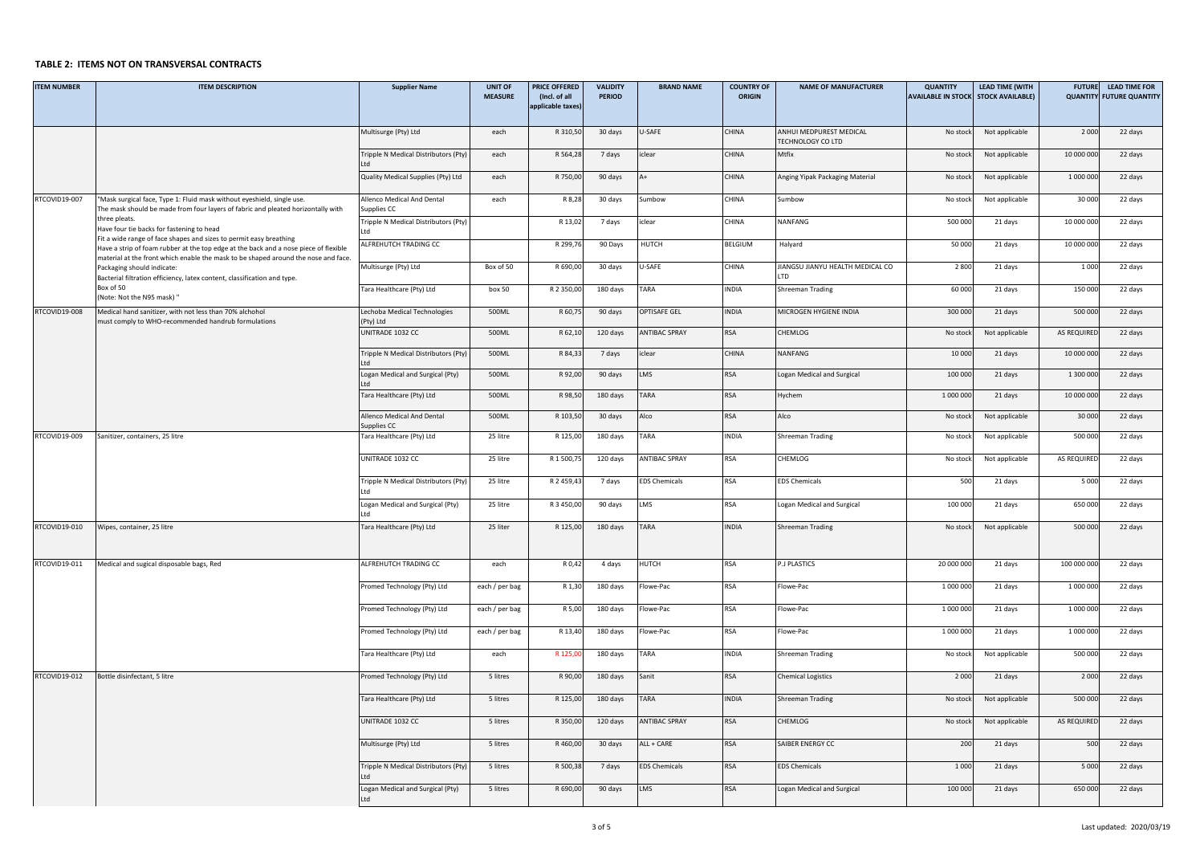#### TABLE 2: ITEMS NOT ON TRANSVERSAL <mark>CONTRACTS</mark>

| <b>ITEM NUMBER</b> | <b>ITEM DESCRIPTION</b>                                                                                                                                                    | <b>Supplier Name</b>                                       | <b>UNIT OF</b><br><b>MEASURE</b> | <b>PRICE OFFERED</b><br>(Incl. of all | <b>VALIDITY</b><br><b>PERIOD</b> | <b>BRAND NAME</b>    | <b>COUNTRY OF</b><br><b>ORIGIN</b> | <b>NAME OF MANUFACTURER</b>              | <b>QUANTITY</b><br><b>AVAILABLE IN STOCK</b> | <b>LEAD TIME (WITH</b><br><b>STOCK AVAILABLE)</b> | <b>FUTURE</b> | <b>LEAD TIME FOR</b><br><b>QUANTITY FUTURE QUANTITY</b> |
|--------------------|----------------------------------------------------------------------------------------------------------------------------------------------------------------------------|------------------------------------------------------------|----------------------------------|---------------------------------------|----------------------------------|----------------------|------------------------------------|------------------------------------------|----------------------------------------------|---------------------------------------------------|---------------|---------------------------------------------------------|
|                    |                                                                                                                                                                            |                                                            |                                  | applicable taxes)                     |                                  |                      |                                    |                                          |                                              |                                                   |               |                                                         |
|                    |                                                                                                                                                                            | Multisurge (Pty) Ltd                                       | each                             | R 310,50                              | 30 days                          | U-SAFE               | CHINA                              | ANHUI MEDPUREST MEDICAL                  | No stock                                     | Not applicable                                    | 2 0 0 0       | 22 days                                                 |
|                    |                                                                                                                                                                            | Tripple N Medical Distributors (Pty)                       | each                             | R 564,28                              | 7 days                           | iclear               | CHINA                              | TECHNOLOGY CO LTD<br>Mtfix               | No stock                                     | Not applicable                                    | 10 000 000    | 22 days                                                 |
|                    |                                                                                                                                                                            | Quality Medical Supplies (Pty) Ltd                         | each                             | R 750,00                              | 90 days                          | A+                   | CHINA                              | Anging Yipak Packaging Material          | No stock                                     | Not applicable                                    | 1 000 000     | 22 days                                                 |
| RTCOVID19-007      | "Mask surgical face, Type 1: Fluid mask without eyeshield, single use.                                                                                                     | Allenco Medical And Dental                                 | each                             | R 8,28                                | 30 days                          | Sumbow               | CHINA                              | Sumbow                                   | No stock                                     | Not applicable                                    | 30 000        | 22 days                                                 |
|                    | The mask should be made from four layers of fabric and pleated horizontally with<br>three pleats.                                                                          | Supplies CC<br><b>Tripple N Medical Distributors (Pty)</b> |                                  | R 13,0                                | 7 days                           | iclear               | CHINA                              | NANFANG                                  | 500 000                                      | 21 days                                           | 10 000 000    | 22 days                                                 |
|                    | Have four tie backs for fastening to head<br>Fit a wide range of face shapes and sizes to permit easy breathing                                                            | ALFREHUTCH TRADING CC                                      |                                  | R 299,7                               | 90 Days                          | HUTCH                | BELGIUM                            | <b>Halyard</b>                           | 50 000                                       | 21 days                                           | 10 000 000    | 22 days                                                 |
|                    | lave a strip of foam rubber at the top edge at the back and a nose piece of flexible<br>naterial at the front which enable the mask to be shaped around the nose and face. |                                                            |                                  |                                       |                                  |                      |                                    |                                          |                                              |                                                   |               |                                                         |
|                    | Packaging should indicate:<br>Bacterial filtration efficiency, latex content, classification and type.                                                                     | Multisurge (Pty) Ltd                                       | Box of 50                        | R 690,00                              | 30 days                          | U-SAFE               | <b>CHINA</b>                       | IIANGSU JIANYU HEALTH MEDICAL CO<br>ITD. | 2 8 0 0                                      | 21 days                                           | 1 0 0 0       | 22 days                                                 |
|                    | Box of 50<br>Note: Not the N95 mask) "                                                                                                                                     | Tara Healthcare (Pty) Ltd                                  | box 50                           | R 2 350,0                             | 180 days                         | TARA                 | <b>INDIA</b>                       | Shreeman Trading                         | 60 000                                       | 21 days                                           | 150 000       | 22 days                                                 |
| RTCOVID19-008      | Medical hand sanitizer, with not less than 70% alchohol<br>nust comply to WHO-recommended handrub formulations                                                             | echoba Medical Technologies<br>Pty) Ltd                    | 500ML                            | R 60,7                                | 90 days                          | <b>OPTISAFE GEL</b>  | <b>INDIA</b>                       | MICROGEN HYGIENE INDIA                   | 300 000                                      | 21 days                                           | 500 000       | 22 days                                                 |
|                    |                                                                                                                                                                            | UNITRADE 1032 CC                                           | 500ML                            | R 62,10                               | 120 days                         | <b>ANTIBAC SPRAY</b> | <b>RSA</b>                         | CHEMLOG                                  | No stock                                     | Not applicable                                    | AS REQUIRED   | 22 days                                                 |
|                    |                                                                                                                                                                            | ripple N Medical Distributors (Pty)                        | 500ML                            | R 84,33                               | 7 days                           | iclear               | CHINA                              | NANFANG                                  | 10 000                                       | 21 days                                           | 10 000 000    | 22 days                                                 |
|                    |                                                                                                                                                                            | Logan Medical and Surgical (Pty)                           | 500ML                            | R 92,0                                | 90 days                          | LMS                  | RSA                                | Logan Medical and Surgical               | 100 000                                      | 21 days                                           | 1 300 000     | 22 days                                                 |
|                    |                                                                                                                                                                            | Tara Healthcare (Pty) Ltd                                  | 500ML                            | R 98,5                                | 180 days                         | TARA                 | RSA                                | Hychem                                   | 1 000 000                                    | 21 days                                           | 10 000 000    | 22 days                                                 |
|                    |                                                                                                                                                                            | Allenco Medical And Dental<br>Supplies CC                  | 500ML                            | R 103,50                              | 30 days                          | Alco                 | RSA                                | Alco                                     | No stock                                     | Not applicable                                    | 30 000        | 22 days                                                 |
| RTCOVID19-009      | Sanitizer, containers, 25 litre                                                                                                                                            | Tara Healthcare (Pty) Ltd                                  | 25 litre                         | R 125,0                               | 180 days                         | TARA                 | INDIA                              | Shreeman Trading                         | No stock                                     | Not applicable                                    | 500 000       | 22 days                                                 |
|                    |                                                                                                                                                                            | UNITRADE 1032 CC                                           | 25 litre                         | R 1 500,7                             | 120 days                         | <b>ANTIBAC SPRAY</b> | RSA                                | CHEMLOG                                  | No stock                                     | Not applicable                                    | AS REQUIRED   | 22 days                                                 |
|                    |                                                                                                                                                                            | <b>Tripple N Medical Distributors (Pty)</b>                | 25 litre                         | R 2 459,4                             | 7 days                           | <b>EDS Chemicals</b> | <b>RSA</b>                         | <b>EDS Chemicals</b>                     | 500                                          | 21 days                                           | 5 0 0 0       | 22 days                                                 |
|                    |                                                                                                                                                                            | Logan Medical and Surgical (Pty)                           | 25 litre                         | R 3 450,00                            | 90 days                          | LMS                  | <b>RSA</b>                         | Logan Medical and Surgical               | 100 000                                      | 21 days                                           | 650 000       | 22 days                                                 |
| RTCOVID19-010      | Wipes, container, 25 litre                                                                                                                                                 | Tara Healthcare (Pty) Ltd                                  | 25 liter                         | R 125,00                              | 180 days                         | TARA                 | INDIA                              | Shreeman Trading                         | No stock                                     | Not applicable                                    | 500 000       | 22 days                                                 |
|                    |                                                                                                                                                                            |                                                            |                                  |                                       |                                  |                      |                                    |                                          |                                              |                                                   |               |                                                         |
| RTCOVID19-011      | Medical and sugical disposable bags, Red                                                                                                                                   | ALFREHUTCH TRADING CC                                      | each                             | R 0,42                                | 4 days                           | HUTCH                | RSA                                | P.J PLASTICS                             | 20 000 000                                   | 21 days                                           | 100 000 000   | 22 days                                                 |
|                    |                                                                                                                                                                            | Promed Technology (Pty) Ltd                                | each / per bag                   | R 1,3                                 | 180 days                         | Flowe-Pac            | RSA                                | lowe-Pac                                 | 1 000 000                                    | 21 days                                           | 1 000 000     | 22 days                                                 |
|                    |                                                                                                                                                                            | Promed Technology (Pty) Ltd                                | each / per bag                   | R 5,00                                | 180 days                         | Flowe-Pac            | RSA                                | Flowe-Pac                                | 1 000 000                                    | 21 days                                           | 1 000 000     | 22 days                                                 |
|                    |                                                                                                                                                                            | Promed Technology (Pty) Ltd                                | each / per bag                   | R 13,40                               | 180 days                         | Flowe-Pac            | <b>RSA</b>                         | lowe-Pac                                 | 1 000 000                                    | 21 days                                           | 1 000 000     | 22 days                                                 |
|                    |                                                                                                                                                                            | Tara Healthcare (Pty) Ltd                                  | each                             | R 125,0                               | 180 days                         | TARA                 | INDIA                              | Shreeman Trading                         | No stock                                     | Not applicable                                    | 500 000       | 22 days                                                 |
| RTCOVID19-012      | Bottle disinfectant, 5 litre                                                                                                                                               | Promed Technology (Pty) Ltd                                | 5 litres                         | R 90,0                                | 180 days                         | Sanit                | RSA                                | <b>Chemical Logistics</b>                | 2 0 0 0                                      | 21 days                                           | 2 0 0 0       | 22 days                                                 |
|                    |                                                                                                                                                                            | Tara Healthcare (Pty) Ltd                                  | 5 litres                         | R 125,00                              | 180 days                         | TARA                 | INDIA                              | Shreeman Trading                         | No stock                                     | Not applicable                                    | 500 000       | 22 days                                                 |
|                    |                                                                                                                                                                            | UNITRADE 1032 CC                                           | 5 litres                         | R 350,00                              | 120 days                         | <b>ANTIBAC SPRAY</b> | <b>RSA</b>                         | CHEMLOG                                  | No stock                                     | Not applicable                                    | AS REQUIRED   | 22 days                                                 |
|                    |                                                                                                                                                                            | Multisurge (Pty) Ltd                                       | 5 litres                         | R 460,0                               | 30 days                          | ALL + CARE           | RSA                                | SAIBER ENERGY CC                         | 200                                          | 21 days                                           | 500           | 22 days                                                 |
|                    |                                                                                                                                                                            | Tripple N Medical Distributors (Pty)                       | 5 litres                         | R 500,38                              | 7 days                           | <b>EDS Chemicals</b> | RSA                                | <b>EDS Chemicals</b>                     | 1 0 0 0                                      | 21 days                                           | 5 0 0 0       | 22 days                                                 |
|                    |                                                                                                                                                                            |                                                            |                                  |                                       |                                  |                      |                                    |                                          |                                              |                                                   |               |                                                         |
|                    |                                                                                                                                                                            | Logan Medical and Surgical (Pty)<br>Ltd                    | 5 litres                         | R 690,00                              | 90 days                          | LMS                  | RSA                                | Logan Medical and Surgical               | 100 000                                      | 21 days                                           | 650 000       | 22 days                                                 |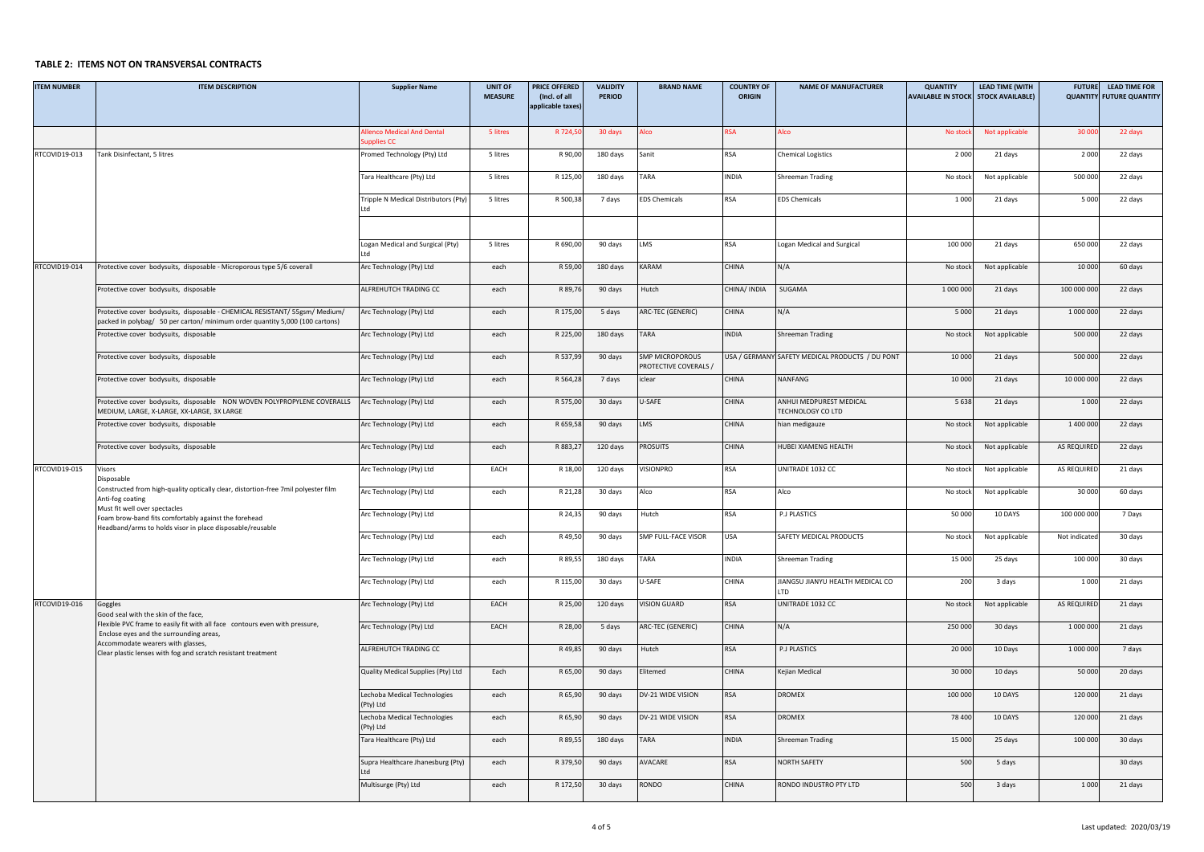## **TABLE 2: ITEMS NOT ON TRANSVERSAL CONTRACTS**

| <b>ITEM NUMBER</b> | <b>ITEM DESCRIPTION</b>                                                                                                                                                                                                                                      | <b>Supplier Name</b>                      | <b>UNIT OF</b><br><b>MEASURE</b> | <b>PRICE OFFERED</b><br>(Incl. of all | <b>VALIDITY</b><br>PERIOD | <b>BRAND NAME</b>                               | <b>COUNTRY OF</b><br><b>ORIGIN</b> | <b>NAME OF MANUFACTURER</b>                     | <b>QUANTITY</b><br><b>AVAILABLE IN STOCK</b> | <b>LEAD TIME (WITH</b><br><b>STOCK AVAILABLE)</b> | <b>FUTURE</b> | <b>LEAD TIME FOR</b><br><b>QUANTITY FUTURE QUANTITY</b> |
|--------------------|--------------------------------------------------------------------------------------------------------------------------------------------------------------------------------------------------------------------------------------------------------------|-------------------------------------------|----------------------------------|---------------------------------------|---------------------------|-------------------------------------------------|------------------------------------|-------------------------------------------------|----------------------------------------------|---------------------------------------------------|---------------|---------------------------------------------------------|
|                    |                                                                                                                                                                                                                                                              |                                           |                                  | applicable taxes                      |                           |                                                 |                                    |                                                 |                                              |                                                   |               |                                                         |
|                    |                                                                                                                                                                                                                                                              | lenco Medical And Dental<br>upplies CC    | 5 litres                         | R 724,                                | 30 days                   | Alco                                            | <b>RSA</b>                         | Alco                                            | No stoc                                      | Not applicable                                    | 30 00         | 22 days                                                 |
| RTCOVID19-013      | Tank Disinfectant, 5 litres                                                                                                                                                                                                                                  | romed Technology (Pty) Ltd                | 5 litres                         | R 90,00                               | 180 days                  | Sanit                                           | <b>RSA</b>                         | Chemical Logistics                              | 2 0 0 0                                      | 21 days                                           | 2 0 0 0       | 22 days                                                 |
|                    |                                                                                                                                                                                                                                                              | Tara Healthcare (Pty) Ltd                 | 5 litres                         | R 125,00                              | 180 days                  | TARA                                            | INDIA                              | Shreeman Trading                                | No stock                                     | Not applicable                                    | 500 000       | 22 days                                                 |
|                    |                                                                                                                                                                                                                                                              | Tripple N Medical Distributors (Pty)      | 5 litres                         | R 500,38                              | 7 days                    | <b>EDS Chemicals</b>                            | RSA                                | <b>EDS Chemicals</b>                            | 1 0 0 0                                      | 21 days                                           | 5 0 0 0       | 22 days                                                 |
|                    |                                                                                                                                                                                                                                                              |                                           |                                  |                                       |                           |                                                 |                                    |                                                 |                                              |                                                   |               |                                                         |
|                    |                                                                                                                                                                                                                                                              | Logan Medical and Surgical (Pty)<br>ht I  | 5 litres                         | R 690,00                              | 90 days                   | LMS                                             | <b>RSA</b>                         | Logan Medical and Surgical                      | 100 000                                      | 21 days                                           | 650 000       | 22 days                                                 |
| RTCOVID19-014      | Protective cover bodysuits, disposable - Microporous type 5/6 coverall                                                                                                                                                                                       | Arc Technology (Pty) Ltd                  | each                             | R 59,00                               | 180 days                  | KARAM                                           | CHINA                              | N/A                                             | No stock                                     | Not applicable                                    | 10 000        | 60 days                                                 |
|                    | Protective cover bodysuits, disposable                                                                                                                                                                                                                       | ALFREHUTCH TRADING CC                     | each                             | R 89,7                                | 90 days                   | Hutch                                           | CHINA/ INDIA                       | SUGAMA                                          | 1 000 000                                    | 21 days                                           | 100 000 000   | 22 days                                                 |
|                    | Protective cover bodysuits, disposable - CHEMICAL RESISTANT/ 55gsm/ Medium/<br>packed in polybag/ 50 per carton/minimum order quantity 5,000 (100 cartons)                                                                                                   | Arc Technology (Pty) Ltd                  | each                             | R 175,00                              | 5 days                    | ARC-TEC (GENERIC)                               | CHINA                              | N/A                                             | 5 0 0 0                                      | 21 days                                           | 1 000 000     | 22 days                                                 |
|                    | Protective cover bodysuits, disposable                                                                                                                                                                                                                       | Arc Technology (Pty) Ltd                  | each                             | R 225,00                              | 180 days                  | TARA                                            | INDIA                              | Shreeman Trading                                | No stock                                     | Not applicable                                    | 500 000       | 22 days                                                 |
|                    | Protective cover bodysuits, disposable                                                                                                                                                                                                                       | Arc Technology (Pty) Ltd                  | each                             | R 537,9                               | 90 days                   | <b>SMP MICROPOROUS</b><br>PROTECTIVE COVERALS / |                                    | JSA / GERMANY SAFETY MEDICAL PRODUCTS / DU PONT | 10 000                                       | 21 days                                           | 500 000       | 22 days                                                 |
|                    | Protective cover bodysuits, disposable                                                                                                                                                                                                                       | Arc Technology (Pty) Ltd                  | each                             | R 564,28                              | 7 days                    | iclear                                          | <b>CHINA</b>                       | NANFANG                                         | 10 000                                       | 21 days                                           | 10 000 000    | 22 days                                                 |
|                    | Protective cover bodysuits, disposable NON WOVEN POLYPROPYLENE COVERALLS Arc Technology (Pty) Ltd<br>MEDIUM, LARGE, X-LARGE, XX-LARGE, 3X LARGE                                                                                                              |                                           | each                             | R 575,00                              | 30 days                   | U-SAFE                                          | CHINA                              | ANHUI MEDPUREST MEDICAL<br>TECHNOLOGY CO LTD    | 5638                                         | 21 days                                           | 1 0 0 0       | 22 days                                                 |
|                    | Protective cover bodysuits, disposable                                                                                                                                                                                                                       | Arc Technology (Pty) Ltd                  | each                             | R 659,58                              | 90 days                   | LMS                                             | CHINA                              | hian medigauze                                  | No stock                                     | Not applicable                                    | 1 400 000     | 22 days                                                 |
|                    | Protective cover bodysuits, disposable                                                                                                                                                                                                                       | Arc Technology (Pty) Ltd                  | each                             | R 883,2                               | 120 days                  | <b>ROSUITS</b>                                  | <b>CHINA</b>                       | HUBEI XIAMENG HEALTH                            | No stock                                     | Not applicable                                    | AS REQUIRED   | 22 days                                                 |
| RTCOVID19-015      | Visors<br>Disposable                                                                                                                                                                                                                                         | Arc Technology (Pty) Ltd                  | EACH                             | R 18,0                                | 120 days                  | <b>VISIONPRO</b>                                | RSA                                | UNITRADE 1032 CC                                | No stock                                     | Not applicable                                    | AS REQUIRED   | 21 days                                                 |
|                    | Constructed from high-quality optically clear, distortion-free 7mil polyester film<br>Anti-fog coating<br>Must fit well over spectacles<br>Foam brow-band fits comfortably against the forehead<br>Headband/arms to holds visor in place disposable/reusable | Arc Technology (Pty) Ltd                  | each                             | R 21,28                               | 30 days                   | Alco                                            | RSA                                | Alco                                            | No stock                                     | Not applicable                                    | 30 000        | 60 days                                                 |
|                    |                                                                                                                                                                                                                                                              | Arc Technology (Pty) Ltd                  |                                  | R 24,3                                | 90 days                   | Hutch                                           | <b>RSA</b>                         | <b>P.J PLASTICS</b>                             | 50 000                                       | 10 DAYS                                           | 100 000 000   | 7 Days                                                  |
|                    |                                                                                                                                                                                                                                                              | Arc Technology (Pty) Ltd                  | each                             | R 49,50                               | 90 days                   | SMP FULL-FACE VISOR                             | USA                                | SAFETY MEDICAL PRODUCTS                         | No stock                                     | Not applicable                                    | Not indicate  | 30 days                                                 |
|                    |                                                                                                                                                                                                                                                              | Arc Technology (Pty) Ltd                  | each                             | R 89,5                                | 180 days                  | TARA                                            | <b>INDIA</b>                       | Shreeman Trading                                | 15 000                                       | 25 days                                           | 100 000       | 30 days                                                 |
|                    |                                                                                                                                                                                                                                                              | Arc Technology (Pty) Ltd                  | each                             | R 115,00                              | 30 days                   | U-SAFE                                          | CHINA                              | IIANGSU JIANYU HEALTH MEDICAL CO<br><b>TD</b>   | 200                                          | 3 days                                            | 1 0 0 0       | 21 days                                                 |
| RTCOVID19-016      | Goggles<br>Good seal with the skin of the face,                                                                                                                                                                                                              | Arc Technology (Pty) Ltd                  | EACH                             | R 25,00                               | 120 days                  | <b>VISION GUARD</b>                             | RSA                                | UNITRADE 1032 CC                                | No stock                                     | Not applicable                                    | AS REQUIRED   | 21 days                                                 |
|                    | lexible PVC frame to easily fit with all face contours even with pressure,<br>Enclose eyes and the surrounding areas,                                                                                                                                        | Arc Technology (Pty) Ltd                  | EACH                             | R 28,00                               | 5 days                    | ARC-TEC (GENERIC)                               | CHINA                              | N/A                                             | 250 000                                      | 30 days                                           | 1 000 000     | 21 days                                                 |
|                    | Accommodate wearers with glasses,<br>Clear plastic lenses with fog and scratch resistant treatment                                                                                                                                                           | ALFREHUTCH TRADING CC                     |                                  | R 49,8                                | 90 days                   | Hutch                                           | <b>RSA</b>                         | <b>P.J PLASTICS</b>                             | 20 000                                       | 10 Days                                           | 1 000 000     | 7 days                                                  |
|                    |                                                                                                                                                                                                                                                              | Quality Medical Supplies (Pty) Ltd        | Each                             | R 65,00                               | 90 days                   | Elitemed                                        | CHINA                              | Kejian Medical                                  | 30 000                                       | 10 days                                           | 50 000        | 20 days                                                 |
|                    |                                                                                                                                                                                                                                                              | Lechoba Medical Technologies<br>(Pty) Ltd | each                             | R 65,90                               | 90 days                   | DV-21 WIDE VISION                               | <b>RSA</b>                         | DROMEX                                          | 100 000                                      | 10 DAYS                                           | 120 000       | 21 days                                                 |
|                    |                                                                                                                                                                                                                                                              | Lechoba Medical Technologies<br>(Pty) Ltd | each                             | R 65,90                               | 90 days                   | DV-21 WIDE VISION                               | <b>RSA</b>                         | <b>DROMEX</b>                                   | 78 400                                       | 10 DAYS                                           | 120 000       | 21 days                                                 |
|                    |                                                                                                                                                                                                                                                              | Tara Healthcare (Pty) Ltd                 | each                             | R 89,5                                | 180 days                  | TARA                                            | INDIA                              | Shreeman Trading                                | 15 000                                       | 25 days                                           | 100 000       | 30 days                                                 |
|                    |                                                                                                                                                                                                                                                              | Supra Healthcare Jhanesburg (Pty)<br>ht I | each                             | R 379,50                              | 90 days                   | <b>AVACARE</b>                                  | RSA                                | <b>NORTH SAFETY</b>                             | 500                                          | 5 days                                            |               | 30 days                                                 |
|                    |                                                                                                                                                                                                                                                              | Multisurge (Pty) Ltd                      | each                             | R 172,50                              | 30 days                   | <b>OONDR</b>                                    | CHINA                              | RONDO INDUSTRO PTY LTD                          | 500                                          | 3 days                                            | 1 0 0 0       | 21 days                                                 |